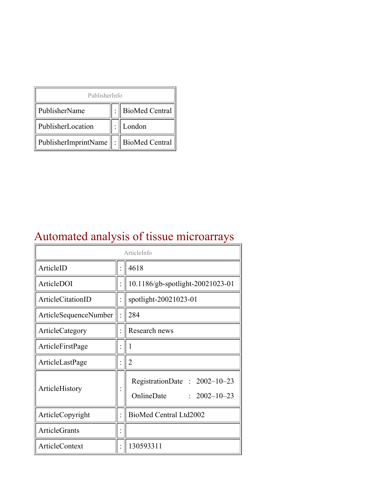| PublisherInfo                                   |  |                    |  |  |
|-------------------------------------------------|--|--------------------|--|--|
| PublisherName                                   |  | :   BioMed Central |  |  |
| PublisherLocation                               |  | London             |  |  |
| PublisherImprintName $\ \cdot\ $ BioMed Central |  |                    |  |  |

## Automated analysis of tissue microarrays

| ArticleInfo           |  |                                                                  |
|-----------------------|--|------------------------------------------------------------------|
| ArticleID             |  | 4618                                                             |
| ArticleDOI            |  | 10.1186/gb-spotlight-20021023-01                                 |
| ArticleCitationID     |  | spotlight-20021023-01                                            |
| ArticleSequenceNumber |  | 284                                                              |
| ArticleCategory       |  | Research news                                                    |
| ArticleFirstPage      |  | 1                                                                |
| ArticleLastPage       |  | $\overline{2}$                                                   |
| ArticleHistory        |  | RegistrationDate: 2002-10-23<br>OnlineDate<br>$: 2002 - 10 - 23$ |
| ArticleCopyright      |  | BioMed Central Ltd2002                                           |
| ArticleGrants         |  |                                                                  |
| ArticleContext        |  | 130593311                                                        |